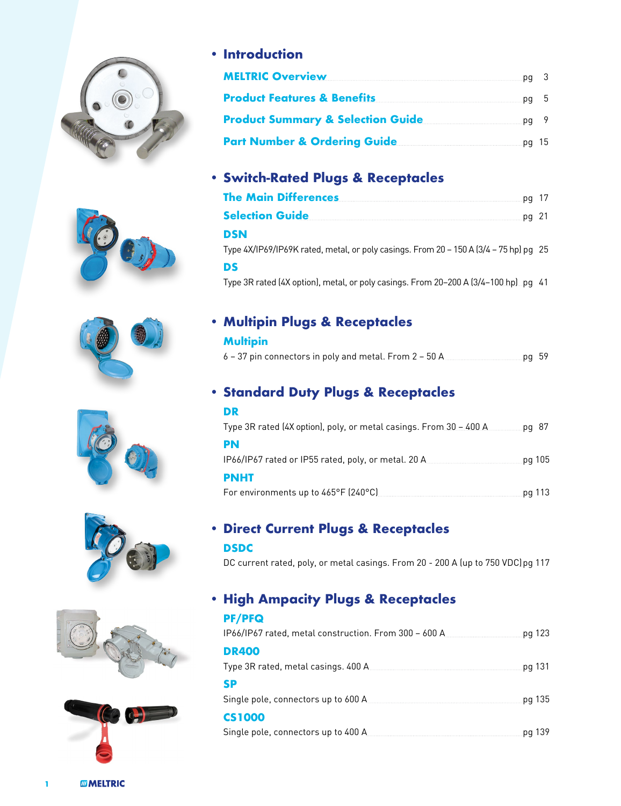













### **• Introduction**

| <b>MELTRIC Overview</b>                                                | .pg 3  |  |
|------------------------------------------------------------------------|--------|--|
| <b>Product Features &amp; Benefits Product Features &amp; Benefits</b> | $pq$ 5 |  |
| <b>Product Summary &amp; Selection Guide</b>                           | .pg 9  |  |
| Part Number & Ordering Guide <b>Name of Action</b>                     | .pg 15 |  |

## **• Switch-Rated Plugs & Receptacles**

| <b>The Main Differences</b>                                                                  | pg 17   |
|----------------------------------------------------------------------------------------------|---------|
| <b>Selection Guide</b>                                                                       | $pq$ 21 |
| DSN<br>Type 4X/IP69/IP69K rated, metal, or poly casings. From 20 – 150 A (3/4 – 75 hp) pg 25 |         |
| DS                                                                                           |         |
| Type 3R rated (4X option), metal, or poly casings. From 20–200 A (3/4–100 hp). pq 41         |         |

### **• Multipin Plugs & Receptacles**

#### **Multipin**

| 6 – 37 pin connectors in poly and metal. From 2 – 50 A $_{\scriptscriptstyle \odot}$ |  | <u>ng 59 pg 59 p</u> |  |
|--------------------------------------------------------------------------------------|--|----------------------|--|
|                                                                                      |  |                      |  |

## **• Standard Duty Plugs & Receptacles**

| DR                                                                   |        |        |
|----------------------------------------------------------------------|--------|--------|
| Type 3R rated (4X option), poly, or metal casings. From $30 - 400$ A | .pg 87 |        |
| PN                                                                   |        |        |
|                                                                      |        | pg 105 |
| <b>PNHT</b>                                                          |        |        |
| For environments up to 465°F (240°C) [2000]                          |        | pg 113 |

### **• Direct Current Plugs & Receptacles DSDC**

DC current rated, poly, or metal casings. From 20 - 200 A (up to 750 VDC)pg 117

# **• High Ampacity Plugs & Receptacles**

| <b>PF/PFQ</b>                                         |         |
|-------------------------------------------------------|---------|
| IP66/IP67 rated, metal construction. From 300 - 600 A | pg 123  |
| <b>DR400</b>                                          |         |
|                                                       | .pg 131 |
| <b>SP</b>                                             |         |
|                                                       | pg 135  |
| <b>CS1000</b>                                         |         |
|                                                       |         |